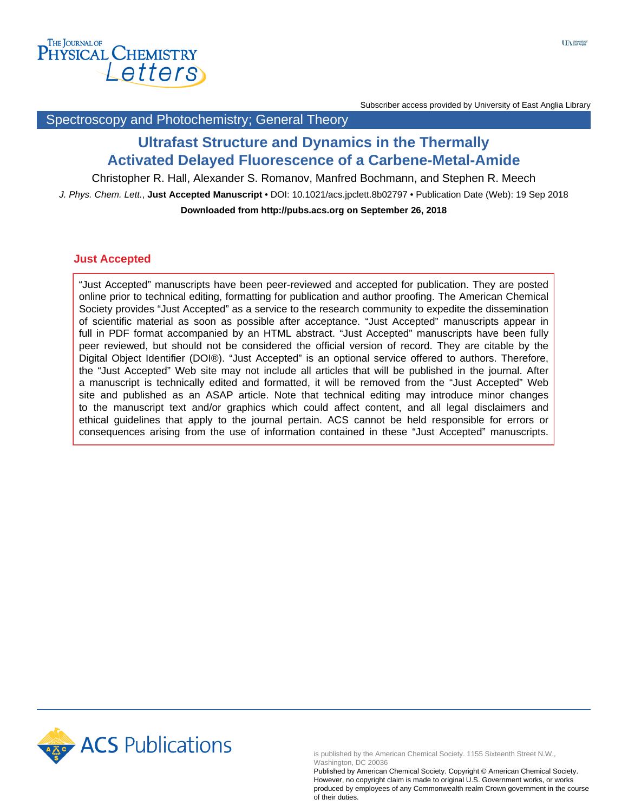

Subscriber access provided by University of East Anglia Library

### Spectroscopy and Photochemistry; General Theory

# **Ultrafast Structure and Dynamics in the Thermally Activated Delayed Fluorescence of a Carbene-Metal-Amide**

Christopher R. Hall, Alexander S. Romanov, Manfred Bochmann, and Stephen R. Meech

J. Phys. Chem. Lett., **Just Accepted Manuscript** • DOI: 10.1021/acs.jpclett.8b02797 • Publication Date (Web): 19 Sep 2018 **Downloaded from http://pubs.acs.org on September 26, 2018**

#### **Just Accepted**

"Just Accepted" manuscripts have been peer-reviewed and accepted for publication. They are posted online prior to technical editing, formatting for publication and author proofing. The American Chemical Society provides "Just Accepted" as a service to the research community to expedite the dissemination of scientific material as soon as possible after acceptance. "Just Accepted" manuscripts appear in full in PDF format accompanied by an HTML abstract. "Just Accepted" manuscripts have been fully peer reviewed, but should not be considered the official version of record. They are citable by the Digital Object Identifier (DOI®). "Just Accepted" is an optional service offered to authors. Therefore, the "Just Accepted" Web site may not include all articles that will be published in the journal. After a manuscript is technically edited and formatted, it will be removed from the "Just Accepted" Web site and published as an ASAP article. Note that technical editing may introduce minor changes to the manuscript text and/or graphics which could affect content, and all legal disclaimers and ethical guidelines that apply to the journal pertain. ACS cannot be held responsible for errors or consequences arising from the use of information contained in these "Just Accepted" manuscripts.



is published by the American Chemical Society. 1155 Sixteenth Street N.W., Washington, DC 20036

Published by American Chemical Society. Copyright © American Chemical Society. However, no copyright claim is made to original U.S. Government works, or works produced by employees of any Commonwealth realm Crown government in the course of their duties.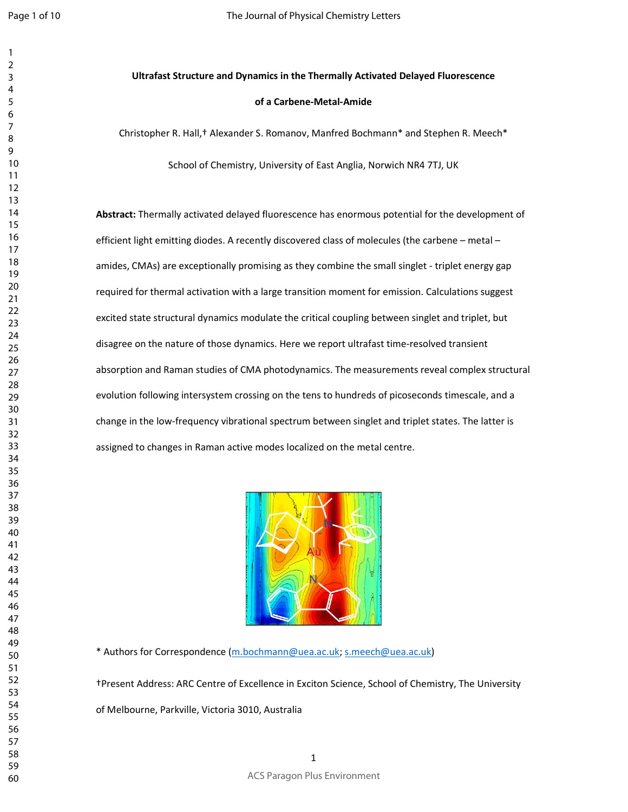# **Ultrafast Structure and Dynamics in the Thermally Activated Delayed Fluorescence of a Carbene-Metal-Amide**

Christopher R. Hall,† Alexander S. Romanov, Manfred Bochmann\* and Stephen R. Meech\*

School of Chemistry, University of East Anglia, Norwich NR4 7TJ, UK

**Abstract:** Thermally activated delayed fluorescence has enormous potential for the development of efficient light emitting diodes. A recently discovered class of molecules (the carbene – metal – amides, CMAs) are exceptionally promising as they combine the small singlet - triplet energy gap required for thermal activation with a large transition moment for emission. Calculations suggest excited state structural dynamics modulate the critical coupling between singlet and triplet, but disagree on the nature of those dynamics. Here we report ultrafast time-resolved transient absorption and Raman studies of CMA photodynamics. The measurements reveal complex structural evolution following intersystem crossing on the tens to hundreds of picoseconds timescale, and a change in the low-frequency vibrational spectrum between singlet and triplet states. The latter is assigned to changes in Raman active modes localized on the metal centre.



\* Authors for Correspondence (m.bochmann@uea.ac.uk; s.meech@uea.ac.uk)

†Present Address: ARC Centre of Excellence in Exciton Science, School of Chemistry, The University

of Melbourne, Parkville, Victoria 3010, Australia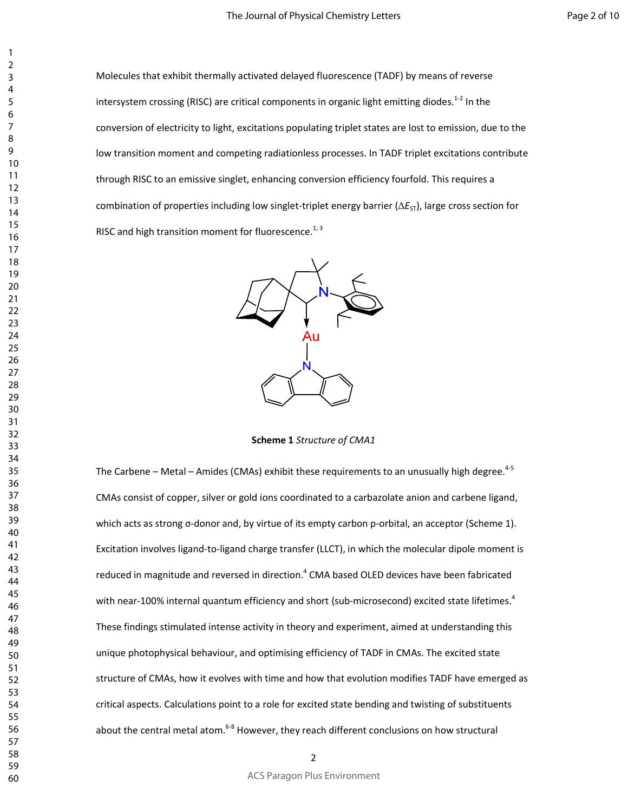Molecules that exhibit thermally activated delayed fluorescence (TADF) by means of reverse intersystem crossing (RISC) are critical components in organic light emitting diodes. $^{1-2}$  In the conversion of electricity to light, excitations populating triplet states are lost to emission, due to the low transition moment and competing radiationless processes. In TADF triplet excitations contribute through RISC to an emissive singlet, enhancing conversion efficiency fourfold. This requires a combination of properties including low singlet-triplet energy barrier ( $\Delta E_{ST}$ ), large cross section for RISC and high transition moment for fluorescence.<sup>1, 3</sup>



**Scheme 1** *Structure of CMA1*

The Carbene – Metal – Amides (CMAs) exhibit these requirements to an unusually high degree.<sup>4-5</sup> CMAs consist of copper, silver or gold ions coordinated to a carbazolate anion and carbene ligand, which acts as strong σ-donor and, by virtue of its empty carbon p-orbital, an acceptor (Scheme 1). Excitation involves ligand-to-ligand charge transfer (LLCT), in which the molecular dipole moment is reduced in magnitude and reversed in direction.<sup>4</sup> CMA based OLED devices have been fabricated with near-100% internal quantum efficiency and short (sub-microsecond) excited state lifetimes.<sup>4</sup> These findings stimulated intense activity in theory and experiment, aimed at understanding this unique photophysical behaviour, and optimising efficiency of TADF in CMAs. The excited state structure of CMAs, how it evolves with time and how that evolution modifies TADF have emerged as critical aspects. Calculations point to a role for excited state bending and twisting of substituents about the central metal atom.<sup>6-8</sup> However, they reach different conclusions on how structural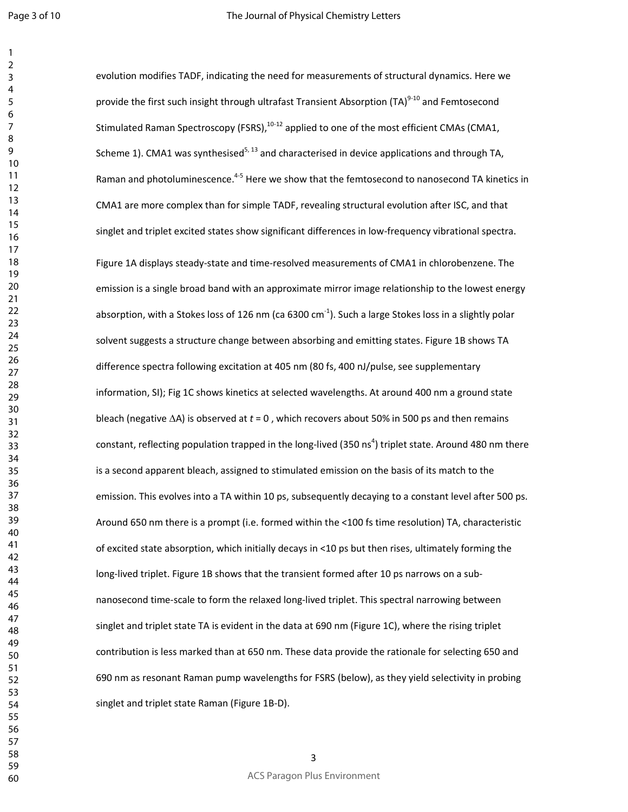Page 3 of 10

| <u>)</u>                         |  |
|----------------------------------|--|
| 3                                |  |
|                                  |  |
| 4                                |  |
| 5                                |  |
| 6                                |  |
|                                  |  |
|                                  |  |
| 8                                |  |
| )                                |  |
| 10                               |  |
| $\mathbf{1}$<br>1                |  |
|                                  |  |
| $\mathbf{1}$<br>$\overline{ }$   |  |
| $\overline{1}$<br>3              |  |
| 1<br>4                           |  |
| 15                               |  |
|                                  |  |
| 16                               |  |
| 1                                |  |
| 18                               |  |
| 19                               |  |
| 20                               |  |
|                                  |  |
| $\overline{21}$                  |  |
| $\overline{2}$<br>$\overline{2}$ |  |
| $\overline{2}$<br>3              |  |
| $\frac{24}{3}$                   |  |
|                                  |  |
| 25                               |  |
| $\frac{26}{5}$                   |  |
| $\frac{1}{2}$                    |  |
| $^{28}$                          |  |
|                                  |  |
| 29                               |  |
| 30                               |  |
| $\overline{\phantom{1}}$         |  |
| $\mathbf{S}$<br>$\overline{2}$   |  |
|                                  |  |
| $\overline{\mathbf{3}}$<br>ξ     |  |
| 3.<br>4                          |  |
| 35                               |  |
| 36                               |  |
|                                  |  |
| $\overline{\mathbf{3}}$          |  |
| 38                               |  |
| 3S<br>J                          |  |
| 40                               |  |
|                                  |  |
| 41                               |  |
| 42                               |  |
| 43                               |  |
| 44                               |  |
| 45                               |  |
|                                  |  |
| 46                               |  |
| 47                               |  |
| 48                               |  |
| 49                               |  |
|                                  |  |
| 50                               |  |
| 51                               |  |
| 5<br>2                           |  |
| 53                               |  |
|                                  |  |
| 54                               |  |
| 55                               |  |
| 56                               |  |
| 57                               |  |
|                                  |  |
| 58                               |  |
| 59                               |  |
| 60                               |  |

evolution modifies TADF, indicating the need for measurements of structural dynamics. Here we provide the first such insight through ultrafast Transient Absorption (TA)<sup>9-10</sup> and Femtosecond Stimulated Raman Spectroscopy (FSRS),<sup>10-12</sup> applied to one of the most efficient CMAs (CMA1, Scheme 1). CMA1 was synthesised<sup>5, 13</sup> and characterised in device applications and through TA, Raman and photoluminescence.<sup>4-5</sup> Here we show that the femtosecond to nanosecond TA kinetics in CMA1 are more complex than for simple TADF, revealing structural evolution after ISC, and that singlet and triplet excited states show significant differences in low-frequency vibrational spectra. Figure 1A displays steady-state and time-resolved measurements of CMA1 in chlorobenzene. The emission is a single broad band with an approximate mirror image relationship to the lowest energy absorption, with a Stokes loss of 126 nm (ca 6300 cm $^{-1}$ ). Such a large Stokes loss in a slightly polar solvent suggests a structure change between absorbing and emitting states. Figure 1B shows TA difference spectra following excitation at 405 nm (80 fs, 400 nJ/pulse, see supplementary information, SI); Fig 1C shows kinetics at selected wavelengths. At around 400 nm a ground state bleach (negative ∆A) is observed at *t* = 0 , which recovers about 50% in 500 ps and then remains constant, reflecting population trapped in the long-lived (350 ns<sup>4</sup>) triplet state. Around 480 nm there is a second apparent bleach, assigned to stimulated emission on the basis of its match to the emission. This evolves into a TA within 10 ps, subsequently decaying to a constant level after 500 ps. Around 650 nm there is a prompt (i.e. formed within the <100 fs time resolution) TA, characteristic of excited state absorption, which initially decays in <10 ps but then rises, ultimately forming the long-lived triplet. Figure 1B shows that the transient formed after 10 ps narrows on a subnanosecond time-scale to form the relaxed long-lived triplet. This spectral narrowing between singlet and triplet state TA is evident in the data at 690 nm (Figure 1C), where the rising triplet contribution is less marked than at 650 nm. These data provide the rationale for selecting 650 and 690 nm as resonant Raman pump wavelengths for FSRS (below), as they yield selectivity in probing singlet and triplet state Raman (Figure 1B-D).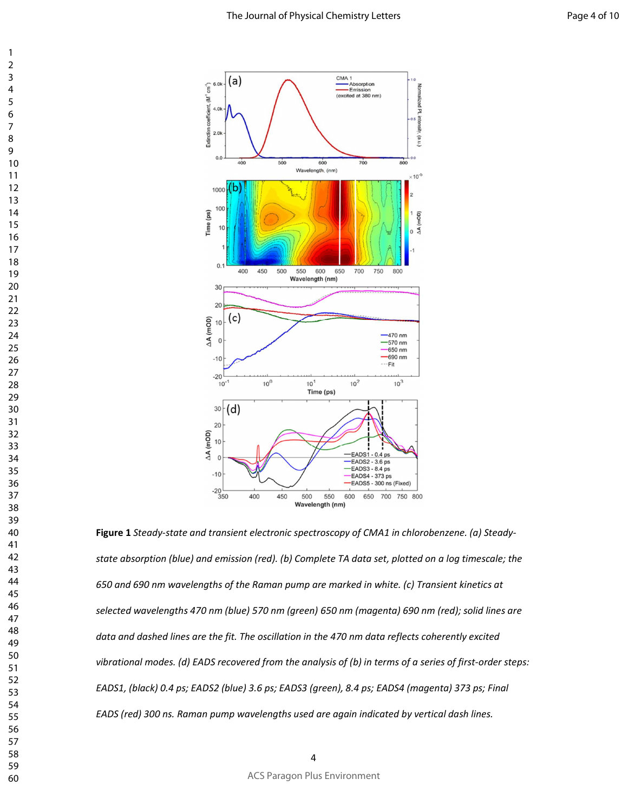

**Figure 1** *Steady-state and transient electronic spectroscopy of CMA1 in chlorobenzene. (a) Steadystate absorption (blue) and emission (red). (b) Complete TA data set, plotted on a log timescale; the 650 and 690 nm wavelengths of the Raman pump are marked in white. (c) Transient kinetics at selected wavelengths 470 nm (blue) 570 nm (green) 650 nm (magenta) 690 nm (red); solid lines are data and dashed lines are the fit. The oscillation in the 470 nm data reflects coherently excited vibrational modes. (d) EADS recovered from the analysis of (b) in terms of a series of first-order steps: EADS1, (black) 0.4 ps; EADS2 (blue) 3.6 ps; EADS3 (green), 8.4 ps; EADS4 (magenta) 373 ps; Final EADS (red) 300 ns. Raman pump wavelengths used are again indicated by vertical dash lines.*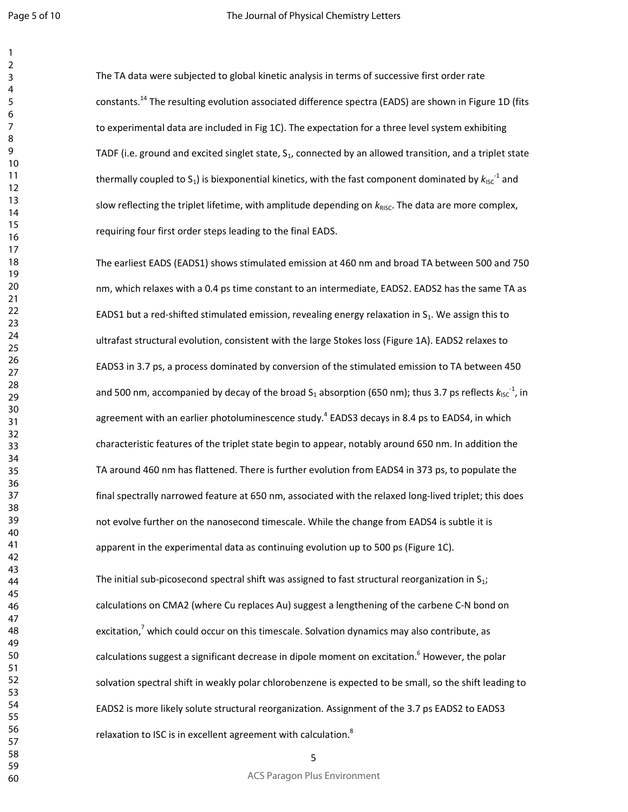The TA data were subjected to global kinetic analysis in terms of successive first order rate constants.<sup>14</sup> The resulting evolution associated difference spectra (EADS) are shown in Figure 1D (fits to experimental data are included in Fig 1C). The expectation for a three level system exhibiting TADF (i.e. ground and excited singlet state,  $S<sub>1</sub>$ , connected by an allowed transition, and a triplet state thermally coupled to S<sub>1</sub>) is biexponential kinetics, with the fast component dominated by  $k_{\text{ISC}}^{-1}$  and slow reflecting the triplet lifetime, with amplitude depending on  $k_{RISC}$ . The data are more complex, requiring four first order steps leading to the final EADS.

The earliest EADS (EADS1) shows stimulated emission at 460 nm and broad TA between 500 and 750 nm, which relaxes with a 0.4 ps time constant to an intermediate, EADS2. EADS2 has the same TA as EADS1 but a red-shifted stimulated emission, revealing energy relaxation in  $S_1$ . We assign this to ultrafast structural evolution, consistent with the large Stokes loss (Figure 1A). EADS2 relaxes to EADS3 in 3.7 ps, a process dominated by conversion of the stimulated emission to TA between 450 and 500 nm, accompanied by decay of the broad S<sub>1</sub> absorption (650 nm); thus 3.7 ps reflects  $k_{\text{ISC}}^{-1}$ , in agreement with an earlier photoluminescence study.<sup>4</sup> EADS3 decays in 8.4 ps to EADS4, in which characteristic features of the triplet state begin to appear, notably around 650 nm. In addition the TA around 460 nm has flattened. There is further evolution from EADS4 in 373 ps, to populate the final spectrally narrowed feature at 650 nm, associated with the relaxed long-lived triplet; this does not evolve further on the nanosecond timescale. While the change from EADS4 is subtle it is apparent in the experimental data as continuing evolution up to 500 ps (Figure 1C).

The initial sub-picosecond spectral shift was assigned to fast structural reorganization in  $S_1$ ; calculations on CMA2 (where Cu replaces Au) suggest a lengthening of the carbene C-N bond on excitation,<sup>7</sup> which could occur on this timescale. Solvation dynamics may also contribute, as calculations suggest a significant decrease in dipole moment on excitation.<sup>6</sup> However, the polar solvation spectral shift in weakly polar chlorobenzene is expected to be small, so the shift leading to EADS2 is more likely solute structural reorganization. Assignment of the 3.7 ps EADS2 to EADS3 relaxation to ISC is in excellent agreement with calculation.<sup>8</sup>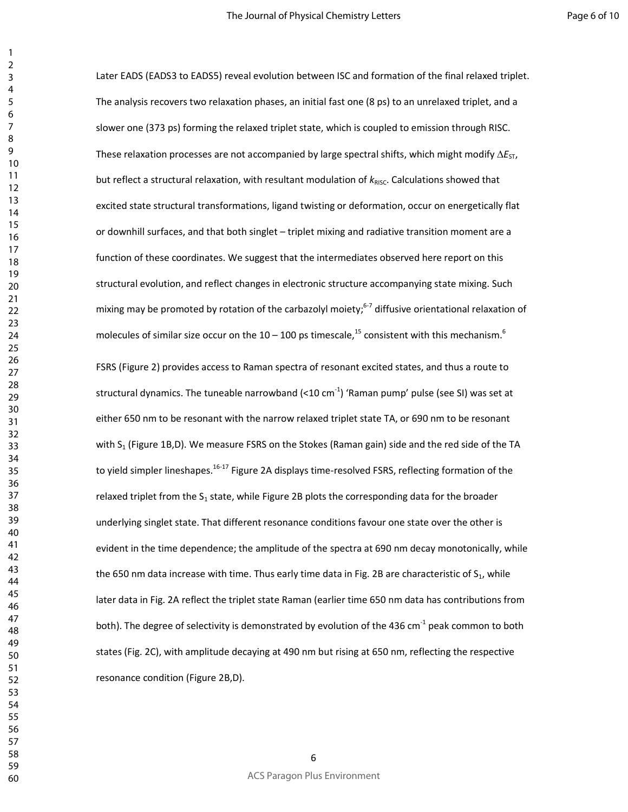Later EADS (EADS3 to EADS5) reveal evolution between ISC and formation of the final relaxed triplet. The analysis recovers two relaxation phases, an initial fast one (8 ps) to an unrelaxed triplet, and a slower one (373 ps) forming the relaxed triplet state, which is coupled to emission through RISC. These relaxation processes are not accompanied by large spectral shifts, which might modify ∆*E*<sub>ST</sub>, but reflect a structural relaxation, with resultant modulation of  $k_{RISC}$ . Calculations showed that excited state structural transformations, ligand twisting or deformation, occur on energetically flat or downhill surfaces, and that both singlet – triplet mixing and radiative transition moment are a function of these coordinates. We suggest that the intermediates observed here report on this structural evolution, and reflect changes in electronic structure accompanying state mixing. Such mixing may be promoted by rotation of the carbazolyl moiety;<sup>6-7</sup> diffusive orientational relaxation of molecules of similar size occur on the 10 – 100 ps timescale,<sup>15</sup> consistent with this mechanism.<sup>6</sup> FSRS (Figure 2) provides access to Raman spectra of resonant excited states, and thus a route to structural dynamics. The tuneable narrowband  $(<10 \text{ cm}^{-1})$  'Raman pump' pulse (see SI) was set at either 650 nm to be resonant with the narrow relaxed triplet state TA, or 690 nm to be resonant with S<sub>1</sub> (Figure 1B,D). We measure FSRS on the Stokes (Raman gain) side and the red side of the TA to yield simpler lineshapes.<sup>16-17</sup> Figure 2A displays time-resolved FSRS, reflecting formation of the relaxed triplet from the  $S_1$  state, while Figure 2B plots the corresponding data for the broader underlying singlet state. That different resonance conditions favour one state over the other is evident in the time dependence; the amplitude of the spectra at 690 nm decay monotonically, while the 650 nm data increase with time. Thus early time data in Fig. 2B are characteristic of  $S_1$ , while later data in Fig. 2A reflect the triplet state Raman (earlier time 650 nm data has contributions from both). The degree of selectivity is demonstrated by evolution of the 436 cm<sup>-1</sup> peak common to both states (Fig. 2C), with amplitude decaying at 490 nm but rising at 650 nm, reflecting the respective resonance condition (Figure 2B,D).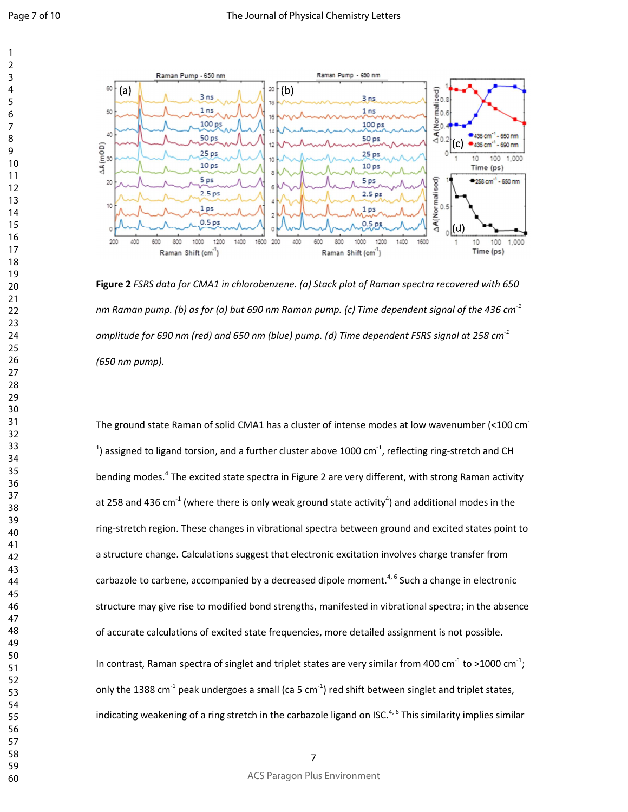

**Figure 2** *FSRS data for CMA1 in chlorobenzene. (a) Stack plot of Raman spectra recovered with 650 nm Raman pump. (b) as for (a) but 690 nm Raman pump. (c) Time dependent signal of the 436 cm-1 amplitude for 690 nm (red) and 650 nm (blue) pump. (d) Time dependent FSRS signal at 258 cm-1 (650 nm pump).*

The ground state Raman of solid CMA1 has a cluster of intense modes at low wavenumber (<100 cm-<sup>1</sup>) assigned to ligand torsion, and a further cluster above 1000 cm<sup>-1</sup>, reflecting ring-stretch and CH bending modes.<sup>4</sup> The excited state spectra in Figure 2 are very different, with strong Raman activity at 258 and 436 cm<sup>-1</sup> (where there is only weak ground state activity<sup>4</sup>) and additional modes in the ring-stretch region. These changes in vibrational spectra between ground and excited states point to a structure change. Calculations suggest that electronic excitation involves charge transfer from carbazole to carbene, accompanied by a decreased dipole moment.<sup>4, 6</sup> Such a change in electronic structure may give rise to modified bond strengths, manifested in vibrational spectra; in the absence of accurate calculations of excited state frequencies, more detailed assignment is not possible. In contrast, Raman spectra of singlet and triplet states are very similar from 400 cm<sup>-1</sup> to >1000 cm<sup>-1</sup>; only the 1388 cm<sup>-1</sup> peak undergoes a small (ca 5 cm<sup>-1</sup>) red shift between singlet and triplet states, indicating weakening of a ring stretch in the carbazole ligand on ISC.<sup>4, 6</sup> This similarity implies similar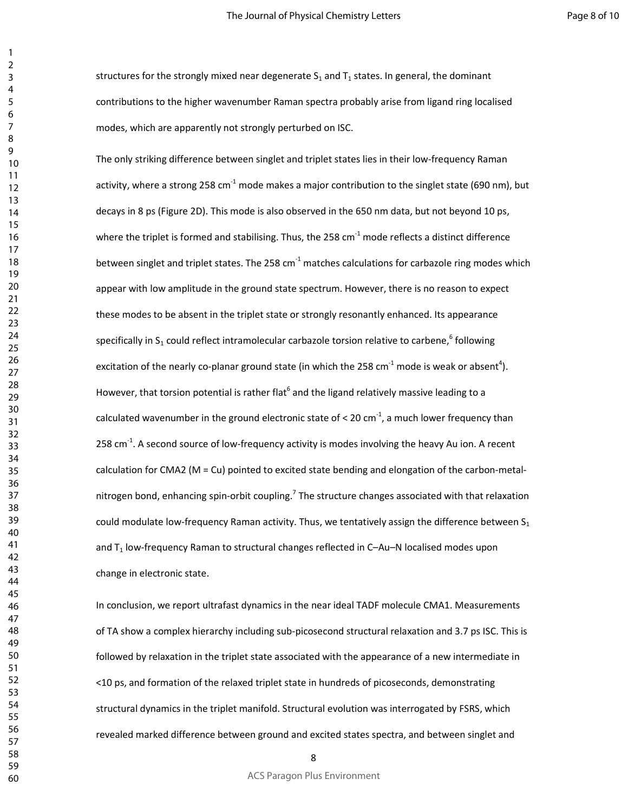structures for the strongly mixed near degenerate  $S_1$  and  $T_1$  states. In general, the dominant contributions to the higher wavenumber Raman spectra probably arise from ligand ring localised modes, which are apparently not strongly perturbed on ISC.

The only striking difference between singlet and triplet states lies in their low-frequency Raman activity, where a strong 258 cm<sup>-1</sup> mode makes a major contribution to the singlet state (690 nm), but decays in 8 ps (Figure 2D). This mode is also observed in the 650 nm data, but not beyond 10 ps, where the triplet is formed and stabilising. Thus, the 258  $cm<sup>-1</sup>$  mode reflects a distinct difference between singlet and triplet states. The 258 cm $^{-1}$  matches calculations for carbazole ring modes which appear with low amplitude in the ground state spectrum. However, there is no reason to expect these modes to be absent in the triplet state or strongly resonantly enhanced. Its appearance specifically in S<sub>1</sub> could reflect intramolecular carbazole torsion relative to carbene,<sup>6</sup> following excitation of the nearly co-planar ground state (in which the 258 cm<sup>-1</sup> mode is weak or absent<sup>4</sup>). However, that torsion potential is rather flat<sup>6</sup> and the ligand relatively massive leading to a calculated wavenumber in the ground electronic state of  $<$  20 cm<sup>-1</sup>, a much lower frequency than 258 cm $^{-1}$ . A second source of low-frequency activity is modes involving the heavy Au ion. A recent calculation for CMA2 (M = Cu) pointed to excited state bending and elongation of the carbon-metalnitrogen bond, enhancing spin-orbit coupling.<sup>7</sup> The structure changes associated with that relaxation could modulate low-frequency Raman activity. Thus, we tentatively assign the difference between  $S_1$ and  $T_1$  low-frequency Raman to structural changes reflected in C-Au-N localised modes upon change in electronic state.

In conclusion, we report ultrafast dynamics in the near ideal TADF molecule CMA1. Measurements of TA show a complex hierarchy including sub-picosecond structural relaxation and 3.7 ps ISC. This is followed by relaxation in the triplet state associated with the appearance of a new intermediate in <10 ps, and formation of the relaxed triplet state in hundreds of picoseconds, demonstrating structural dynamics in the triplet manifold. Structural evolution was interrogated by FSRS, which revealed marked difference between ground and excited states spectra, and between singlet and

ACS Paragon Plus Environment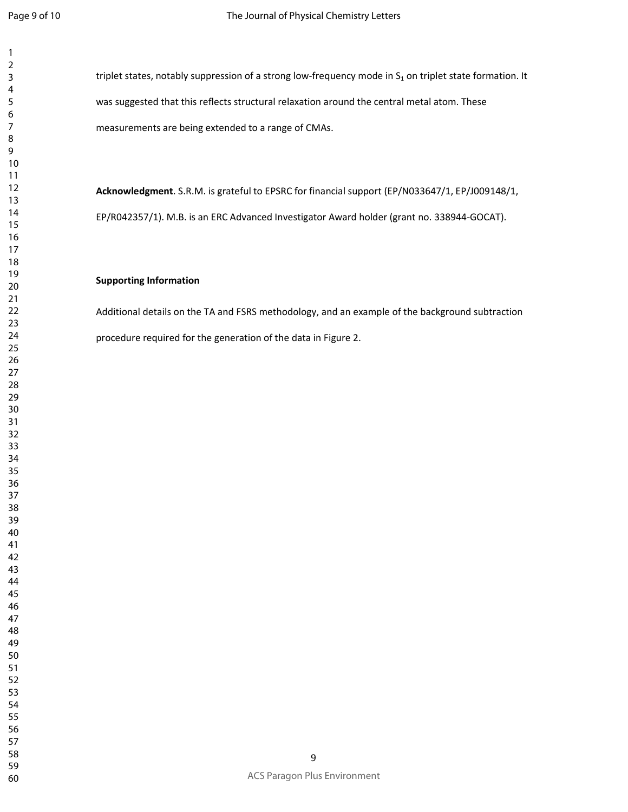triplet states, notably suppression of a strong low-frequency mode in  $S<sub>1</sub>$  on triplet state formation. It was suggested that this reflects structural relaxation around the central metal atom. These measurements are being extended to a range of CMAs.

**Acknowledgment**. S.R.M. is grateful to EPSRC for financial support (EP/N033647/1, EP/J009148/1, EP/R042357/1). M.B. is an ERC Advanced Investigator Award holder (grant no. 338944-GOCAT).

#### **Supporting Information**

Additional details on the TA and FSRS methodology, and an example of the background subtraction procedure required for the generation of the data in Figure 2.